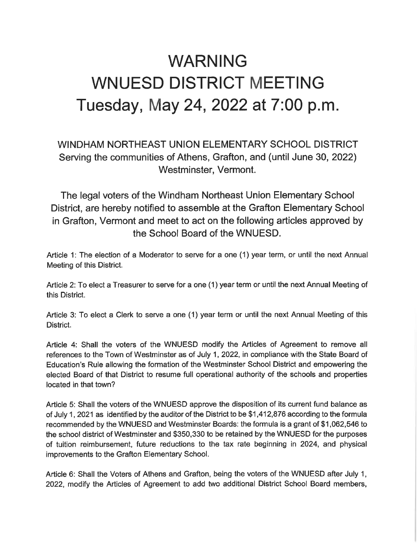## WARNING WNUESD DISTRICT MEETING Tuesday, May 24, 2022 at 7:00 p.m.

## WINDHAM NORTHEAST UNION ELEMENTARY SCHOOL DISTRICT Serving the communities of Athens, Grafton, and (until June 30, 2022) Westminster, Vermont.

The legal voters of the Windham Northeast Union Elementary School District, are hereby notified to assemble at the Grafton Elementary School in Grafton, Vermont and meet to act on the following articles approved by the School Board of the WNUESD.

Article 1: The election of a Moderator to serve for a one (1) year term, or until the next Annual Meeting of this District.

Article 2: To elect a Treasurer to serve for a one (1) year term or until the next Annual Meeting of this District.

Article 3: To elect a Clerk to serve a one (1) year term or until the next Annual Meeting of this District.

Article 4: Shall the voters of the WNUESD modify the Articles of Agreement to remove all references to the Town of Westminster as of July 1, 2022, in compliance with the State Board of Education's Rule allowing the formation of the Westminster School District and empowering the elected Board of that District to resume full operational authority of the schools and properties located in that town?

Article 5: Shall the voters of the WNUESD approve the disposition of its current fund balance as of July 1, 2021 as identified by the auditor of the District to be \$1 ,412,876 according to the formula recommended by the WNUESD and Westminster Boards: the formula is a grant of \$1,062,546 to the school district of Westminster and \$350,330 to be retained by the WNUESD for the purposes of tuition reimbursement, future reductions to the tax rate beginning in 2024, and physical improvements to the Grafton Elementary School.

Article 6: Shall the Voters of Athens and Grafton, being the voters of the WNUESD after July 1, 2022, modify the Articles of Agreement to add two additional District School Board members,